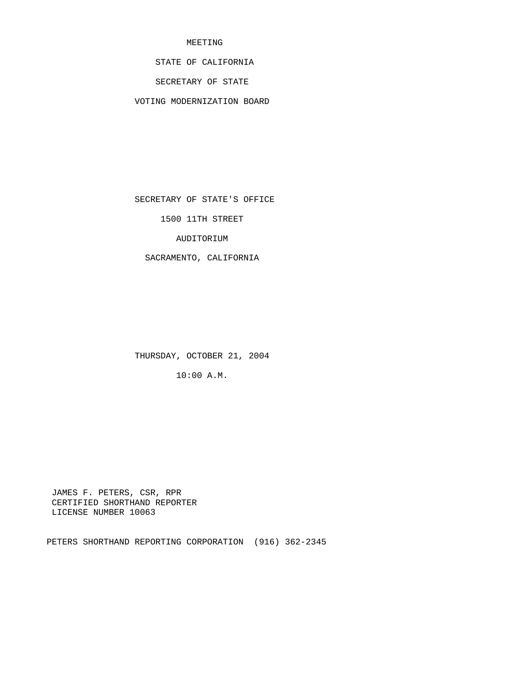# MEETING

STATE OF CALIFORNIA

SECRETARY OF STATE

VOTING MODERNIZATION BOARD

SECRETARY OF STATE'S OFFICE

1500 11TH STREET

AUDITORIUM

SACRAMENTO, CALIFORNIA

THURSDAY, OCTOBER 21, 2004

10:00 A.M.

 JAMES F. PETERS, CSR, RPR CERTIFIED SHORTHAND REPORTER LICENSE NUMBER 10063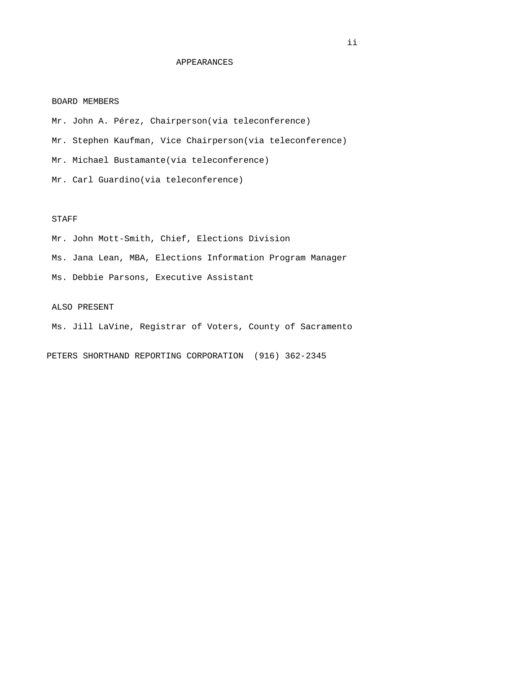### APPEARANCES

### BOARD MEMBERS

 Mr. John A. Pérez, Chairperson(via teleconference) Mr. Stephen Kaufman, Vice Chairperson(via teleconference) Mr. Michael Bustamante(via teleconference) Mr. Carl Guardino(via teleconference)

## STAFF

 Mr. John Mott-Smith, Chief, Elections Division Ms. Jana Lean, MBA, Elections Information Program Manager Ms. Debbie Parsons, Executive Assistant

### ALSO PRESENT

Ms. Jill LaVine, Registrar of Voters, County of Sacramento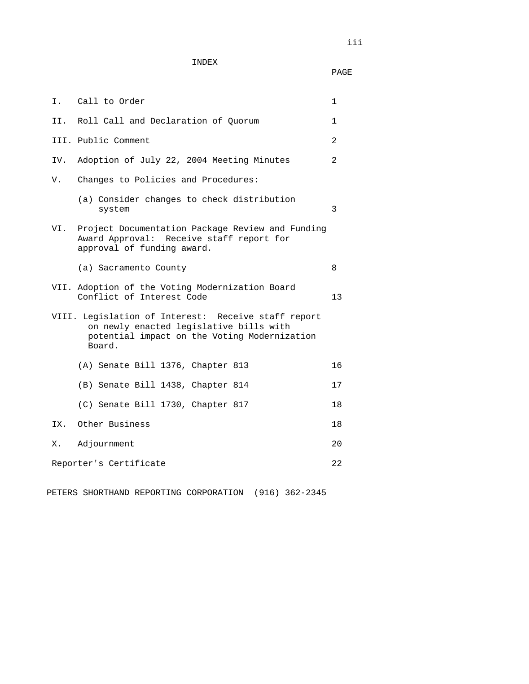|     | I. Call to Order                                                                                                                                         | 1            |
|-----|----------------------------------------------------------------------------------------------------------------------------------------------------------|--------------|
| II. | Roll Call and Declaration of Ouorum                                                                                                                      | $\mathbf{1}$ |
|     | III. Public Comment                                                                                                                                      | 2            |
| IV. | Adoption of July 22, 2004 Meeting Minutes                                                                                                                | 2            |
| V.  | Changes to Policies and Procedures:                                                                                                                      |              |
|     | (a) Consider changes to check distribution<br>system                                                                                                     | 3            |
| VI. | Project Documentation Package Review and Funding<br>Award Approval: Receive staff report for<br>approval of funding award.                               |              |
|     | (a) Sacramento County                                                                                                                                    | 8            |
|     | VII. Adoption of the Voting Modernization Board<br>Conflict of Interest Code                                                                             | 13           |
|     | VIII. Legislation of Interest: Receive staff report<br>on newly enacted legislative bills with<br>potential impact on the Voting Modernization<br>Board. |              |
|     | (A) Senate Bill 1376, Chapter 813                                                                                                                        | 16           |
|     | (B) Senate Bill 1438, Chapter 814                                                                                                                        | 17           |
|     | (C) Senate Bill 1730, Chapter 817                                                                                                                        | 18           |
|     | IX. Other Business                                                                                                                                       | 18           |
| Х.  | Adjournment                                                                                                                                              | 20           |
|     | Reporter's Certificate                                                                                                                                   | 22           |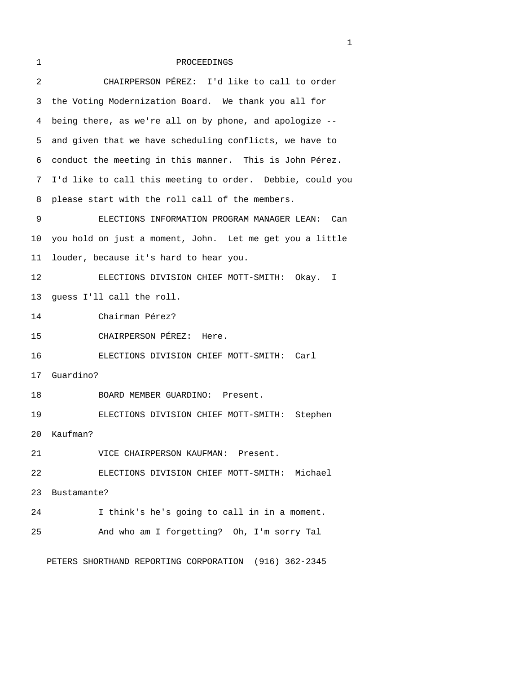# 1 PROCEEDINGS

| 2  | CHAIRPERSON PÉREZ: I'd like to call to order              |
|----|-----------------------------------------------------------|
| 3  | the Voting Modernization Board. We thank you all for      |
| 4  | being there, as we're all on by phone, and apologize --   |
| 5  | and given that we have scheduling conflicts, we have to   |
| 6  | conduct the meeting in this manner. This is John Pérez.   |
| 7  | I'd like to call this meeting to order. Debbie, could you |
| 8  | please start with the roll call of the members.           |
| 9  | ELECTIONS INFORMATION PROGRAM MANAGER LEAN:<br>Can        |
| 10 | you hold on just a moment, John. Let me get you a little  |
| 11 | louder, because it's hard to hear you.                    |
| 12 | ELECTIONS DIVISION CHIEF MOTT-SMITH: Okay. I              |
| 13 | guess I'll call the roll.                                 |
| 14 | Chairman Pérez?                                           |
| 15 | CHAIRPERSON PÉREZ:<br>Here.                               |
| 16 | ELECTIONS DIVISION CHIEF MOTT-SMITH:<br>Carl              |
| 17 | Guardino?                                                 |
| 18 | BOARD MEMBER GUARDINO: Present.                           |
| 19 | ELECTIONS DIVISION CHIEF MOTT-SMITH: Stephen              |
| 20 | Kaufman?                                                  |
| 21 | VICE CHAIRPERSON KAUFMAN: Present.                        |
| 22 | ELECTIONS DIVISION CHIEF MOTT-SMITH: Michael              |
| 23 | Bustamante?                                               |
| 24 | I think's he's going to call in in a moment.              |
| 25 | And who am I forgetting? Oh, I'm sorry Tal                |
|    |                                                           |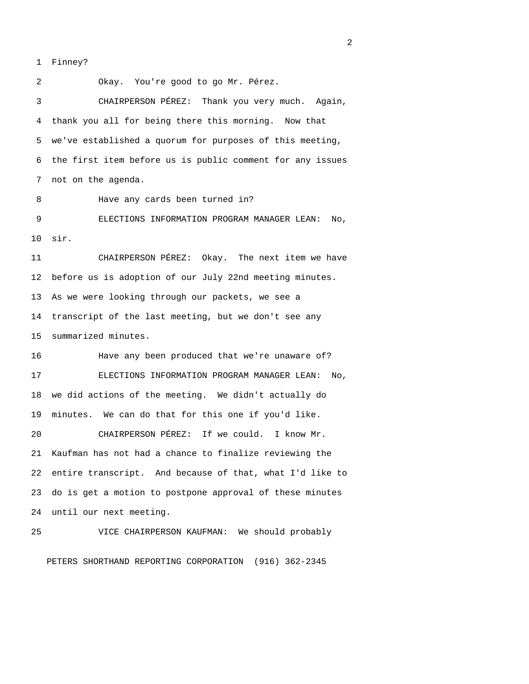1 Finney?

 2 Okay. You're good to go Mr. Pérez. 3 CHAIRPERSON PÉREZ: Thank you very much. Again, 4 thank you all for being there this morning. Now that 5 we've established a quorum for purposes of this meeting, 6 the first item before us is public comment for any issues 7 not on the agenda. 8 Have any cards been turned in? 9 ELECTIONS INFORMATION PROGRAM MANAGER LEAN: No, 10 sir. 11 CHAIRPERSON PÉREZ: Okay. The next item we have 12 before us is adoption of our July 22nd meeting minutes. 13 As we were looking through our packets, we see a 14 transcript of the last meeting, but we don't see any 15 summarized minutes. 16 Have any been produced that we're unaware of? 17 ELECTIONS INFORMATION PROGRAM MANAGER LEAN: No, 18 we did actions of the meeting. We didn't actually do 19 minutes. We can do that for this one if you'd like. 20 CHAIRPERSON PÉREZ: If we could. I know Mr. 21 Kaufman has not had a chance to finalize reviewing the 22 entire transcript. And because of that, what I'd like to 23 do is get a motion to postpone approval of these minutes 24 until our next meeting. 25 VICE CHAIRPERSON KAUFMAN: We should probably

PETERS SHORTHAND REPORTING CORPORATION (916) 362-2345

 $\overline{2}$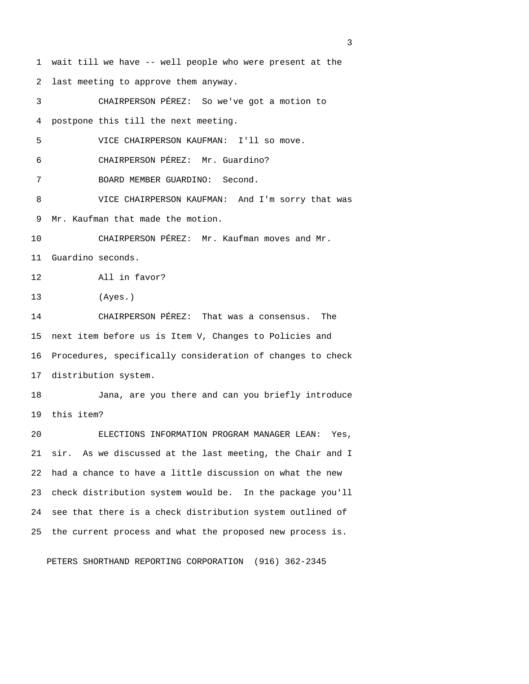1 wait till we have -- well people who were present at the 2 last meeting to approve them anyway. 3 CHAIRPERSON PÉREZ: So we've got a motion to 4 postpone this till the next meeting. 5 VICE CHAIRPERSON KAUFMAN: I'll so move. 6 CHAIRPERSON PÉREZ: Mr. Guardino? 7 BOARD MEMBER GUARDINO: Second. 8 VICE CHAIRPERSON KAUFMAN: And I'm sorry that was 9 Mr. Kaufman that made the motion. 10 CHAIRPERSON PÉREZ: Mr. Kaufman moves and Mr. 11 Guardino seconds. 12 All in favor? 13 (Ayes.) 14 CHAIRPERSON PÉREZ: That was a consensus. The 15 next item before us is Item V, Changes to Policies and 16 Procedures, specifically consideration of changes to check 17 distribution system. 18 Jana, are you there and can you briefly introduce 19 this item? 20 ELECTIONS INFORMATION PROGRAM MANAGER LEAN: Yes, 21 sir. As we discussed at the last meeting, the Chair and I 22 had a chance to have a little discussion on what the new 23 check distribution system would be. In the package you'll 24 see that there is a check distribution system outlined of 25 the current process and what the proposed new process is. PETERS SHORTHAND REPORTING CORPORATION (916) 362-2345

<u>3</u> and the state of the state of the state of the state of the state of the state of the state of the state of the state of the state of the state of the state of the state of the state of the state of the state of the st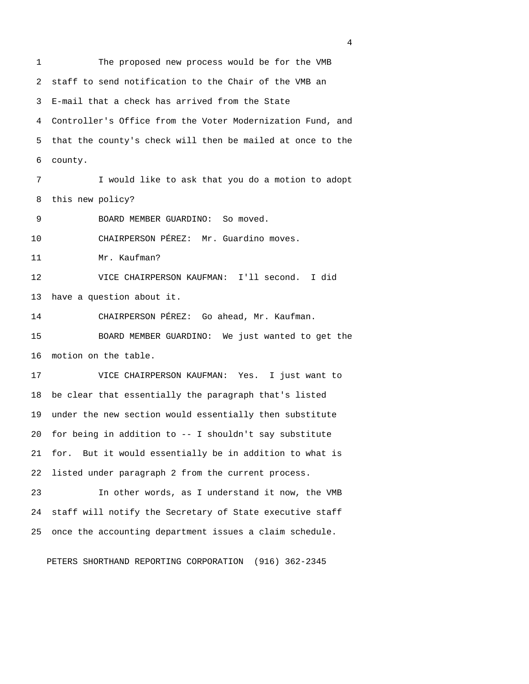1 The proposed new process would be for the VMB 2 staff to send notification to the Chair of the VMB an 3 E-mail that a check has arrived from the State 4 Controller's Office from the Voter Modernization Fund, and 5 that the county's check will then be mailed at once to the 6 county. 7 I would like to ask that you do a motion to adopt 8 this new policy? 9 BOARD MEMBER GUARDINO: So moved. 10 CHAIRPERSON PÉREZ: Mr. Guardino moves. 11 Mr. Kaufman? 12 VICE CHAIRPERSON KAUFMAN: I'll second. I did 13 have a question about it. 14 CHAIRPERSON PÉREZ: Go ahead, Mr. Kaufman. 15 BOARD MEMBER GUARDINO: We just wanted to get the 16 motion on the table. 17 VICE CHAIRPERSON KAUFMAN: Yes. I just want to 18 be clear that essentially the paragraph that's listed 19 under the new section would essentially then substitute 20 for being in addition to -- I shouldn't say substitute 21 for. But it would essentially be in addition to what is 22 listed under paragraph 2 from the current process. 23 In other words, as I understand it now, the VMB 24 staff will notify the Secretary of State executive staff

PETERS SHORTHAND REPORTING CORPORATION (916) 362-2345

25 once the accounting department issues a claim schedule.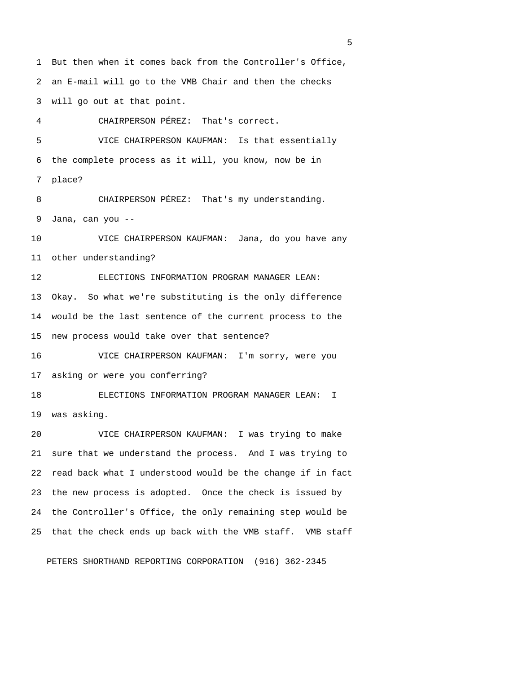1 But then when it comes back from the Controller's Office, 2 an E-mail will go to the VMB Chair and then the checks 3 will go out at that point.

4 CHAIRPERSON PÉREZ: That's correct.

 5 VICE CHAIRPERSON KAUFMAN: Is that essentially 6 the complete process as it will, you know, now be in 7 place? 8 CHAIRPERSON PÉREZ: That's my understanding. 9 Jana, can you -- 10 VICE CHAIRPERSON KAUFMAN: Jana, do you have any 11 other understanding?

12 ELECTIONS INFORMATION PROGRAM MANAGER LEAN: 13 Okay. So what we're substituting is the only difference 14 would be the last sentence of the current process to the 15 new process would take over that sentence?

16 VICE CHAIRPERSON KAUFMAN: I'm sorry, were you 17 asking or were you conferring?

18 ELECTIONS INFORMATION PROGRAM MANAGER LEAN: I 19 was asking.

20 VICE CHAIRPERSON KAUFMAN: I was trying to make 21 sure that we understand the process. And I was trying to 22 read back what I understood would be the change if in fact 23 the new process is adopted. Once the check is issued by 24 the Controller's Office, the only remaining step would be 25 that the check ends up back with the VMB staff. VMB staff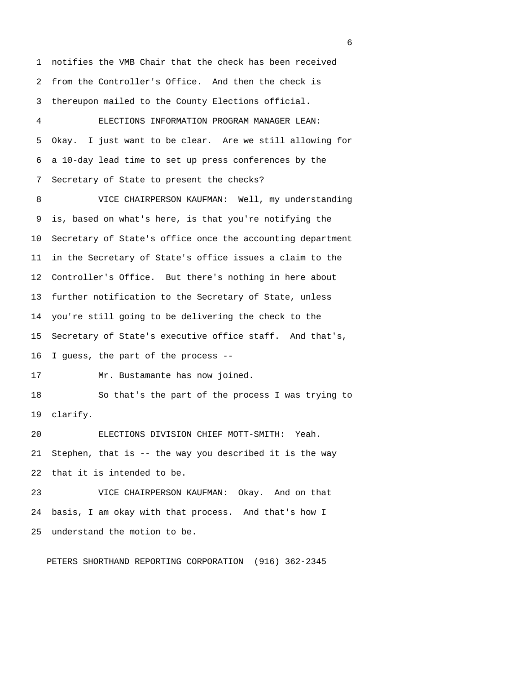1 notifies the VMB Chair that the check has been received 2 from the Controller's Office. And then the check is 3 thereupon mailed to the County Elections official. 4 ELECTIONS INFORMATION PROGRAM MANAGER LEAN: 5 Okay. I just want to be clear. Are we still allowing for 6 a 10-day lead time to set up press conferences by the 7 Secretary of State to present the checks? 8 VICE CHAIRPERSON KAUFMAN: Well, my understanding 9 is, based on what's here, is that you're notifying the 10 Secretary of State's office once the accounting department 11 in the Secretary of State's office issues a claim to the 12 Controller's Office. But there's nothing in here about 13 further notification to the Secretary of State, unless 14 you're still going to be delivering the check to the 15 Secretary of State's executive office staff. And that's, 16 I guess, the part of the process -- 17 Mr. Bustamante has now joined. 18 So that's the part of the process I was trying to 19 clarify. 20 ELECTIONS DIVISION CHIEF MOTT-SMITH: Yeah. 21 Stephen, that is -- the way you described it is the way 22 that it is intended to be. 23 VICE CHAIRPERSON KAUFMAN: Okay. And on that 24 basis, I am okay with that process. And that's how I 25 understand the motion to be.

PETERS SHORTHAND REPORTING CORPORATION (916) 362-2345

 $\sim$  6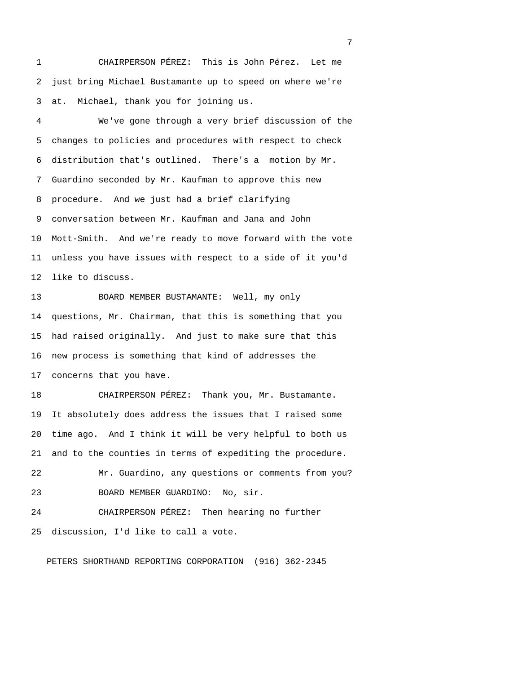1 CHAIRPERSON PÉREZ: This is John Pérez. Let me 2 just bring Michael Bustamante up to speed on where we're 3 at. Michael, thank you for joining us.

 4 We've gone through a very brief discussion of the 5 changes to policies and procedures with respect to check 6 distribution that's outlined. There's a motion by Mr. 7 Guardino seconded by Mr. Kaufman to approve this new 8 procedure. And we just had a brief clarifying 9 conversation between Mr. Kaufman and Jana and John 10 Mott-Smith. And we're ready to move forward with the vote 11 unless you have issues with respect to a side of it you'd 12 like to discuss.

13 BOARD MEMBER BUSTAMANTE: Well, my only 14 questions, Mr. Chairman, that this is something that you 15 had raised originally. And just to make sure that this 16 new process is something that kind of addresses the 17 concerns that you have.

18 CHAIRPERSON PÉREZ: Thank you, Mr. Bustamante. 19 It absolutely does address the issues that I raised some 20 time ago. And I think it will be very helpful to both us 21 and to the counties in terms of expediting the procedure. 22 Mr. Guardino, any questions or comments from you? 23 BOARD MEMBER GUARDINO: No, sir. 24 CHAIRPERSON PÉREZ: Then hearing no further 25 discussion, I'd like to call a vote.

PETERS SHORTHAND REPORTING CORPORATION (916) 362-2345

<u>2</u> The contract of the contract of the contract of the contract of the contract of the contract of the contract of the contract of the contract of the contract of the contract of the contract of the contract of the contra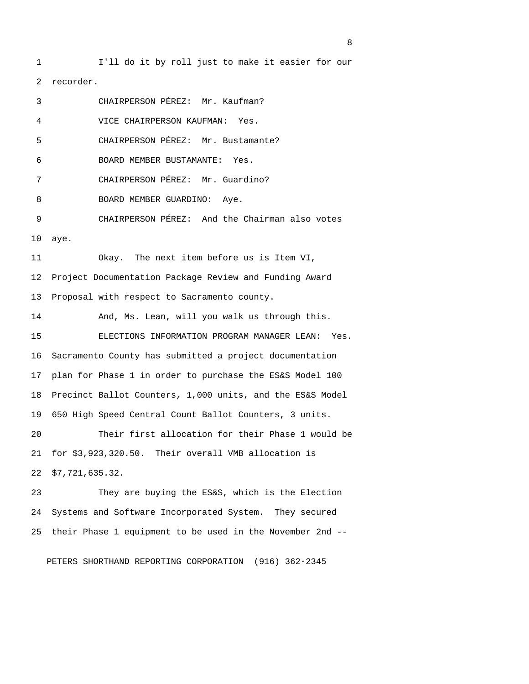1 I'll do it by roll just to make it easier for our 2 recorder. 3 CHAIRPERSON PÉREZ: Mr. Kaufman? 4 VICE CHAIRPERSON KAUFMAN: Yes. 5 CHAIRPERSON PÉREZ: Mr. Bustamante? 6 BOARD MEMBER BUSTAMANTE: Yes. 7 CHAIRPERSON PÉREZ: Mr. Guardino? 8 BOARD MEMBER GUARDINO: Aye. 9 CHAIRPERSON PÉREZ: And the Chairman also votes 10 aye. 11 Okay. The next item before us is Item VI, 12 Project Documentation Package Review and Funding Award 13 Proposal with respect to Sacramento county. 14 And, Ms. Lean, will you walk us through this. 15 ELECTIONS INFORMATION PROGRAM MANAGER LEAN: Yes. 16 Sacramento County has submitted a project documentation 17 plan for Phase 1 in order to purchase the ES&S Model 100 18 Precinct Ballot Counters, 1,000 units, and the ES&S Model 19 650 High Speed Central Count Ballot Counters, 3 units. 20 Their first allocation for their Phase 1 would be 21 for \$3,923,320.50. Their overall VMB allocation is 22 \$7,721,635.32. 23 They are buying the ES&S, which is the Election 24 Systems and Software Incorporated System. They secured 25 their Phase 1 equipment to be used in the November 2nd --

PETERS SHORTHAND REPORTING CORPORATION (916) 362-2345

en andere en de la provincia de la provincia de la provincia de la provincia de la provincia de la provincia d<br>En 1888, en la provincia de la provincia de la provincia de la provincia de la provincia de la provincia de la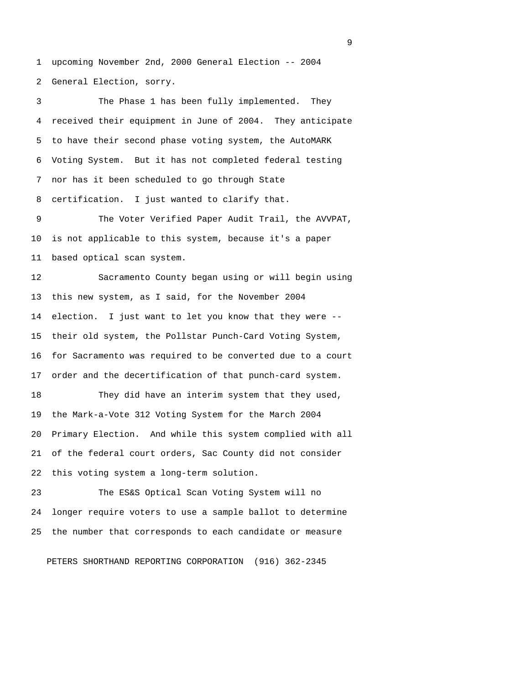1 upcoming November 2nd, 2000 General Election -- 2004 2 General Election, sorry.

 3 The Phase 1 has been fully implemented. They 4 received their equipment in June of 2004. They anticipate 5 to have their second phase voting system, the AutoMARK 6 Voting System. But it has not completed federal testing 7 nor has it been scheduled to go through State 8 certification. I just wanted to clarify that. 9 The Voter Verified Paper Audit Trail, the AVVPAT,

10 is not applicable to this system, because it's a paper 11 based optical scan system.

12 Sacramento County began using or will begin using 13 this new system, as I said, for the November 2004 14 election. I just want to let you know that they were -- 15 their old system, the Pollstar Punch-Card Voting System, 16 for Sacramento was required to be converted due to a court 17 order and the decertification of that punch-card system.

18 They did have an interim system that they used, 19 the Mark-a-Vote 312 Voting System for the March 2004 20 Primary Election. And while this system complied with all 21 of the federal court orders, Sac County did not consider 22 this voting system a long-term solution.

23 The ES&S Optical Scan Voting System will no 24 longer require voters to use a sample ballot to determine 25 the number that corresponds to each candidate or measure

PETERS SHORTHAND REPORTING CORPORATION (916) 362-2345

experience of the contract of the contract of the contract of the contract of the contract of the contract of the contract of the contract of the contract of the contract of the contract of the contract of the contract of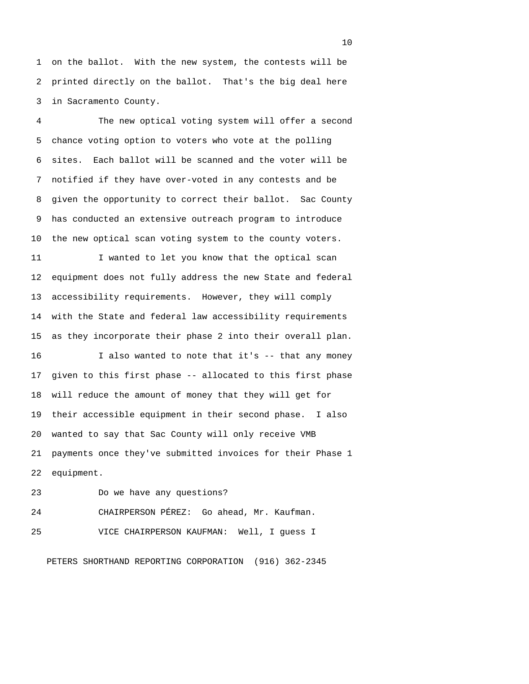1 on the ballot. With the new system, the contests will be 2 printed directly on the ballot. That's the big deal here 3 in Sacramento County.

 4 The new optical voting system will offer a second 5 chance voting option to voters who vote at the polling 6 sites. Each ballot will be scanned and the voter will be 7 notified if they have over-voted in any contests and be 8 given the opportunity to correct their ballot. Sac County 9 has conducted an extensive outreach program to introduce 10 the new optical scan voting system to the county voters.

11 I wanted to let you know that the optical scan 12 equipment does not fully address the new State and federal 13 accessibility requirements. However, they will comply 14 with the State and federal law accessibility requirements 15 as they incorporate their phase 2 into their overall plan.

16 I also wanted to note that it's -- that any money 17 given to this first phase -- allocated to this first phase 18 will reduce the amount of money that they will get for 19 their accessible equipment in their second phase. I also 20 wanted to say that Sac County will only receive VMB 21 payments once they've submitted invoices for their Phase 1 22 equipment.

23 Do we have any questions? 24 CHAIRPERSON PÉREZ: Go ahead, Mr. Kaufman. 25 VICE CHAIRPERSON KAUFMAN: Well, I guess I

PETERS SHORTHAND REPORTING CORPORATION (916) 362-2345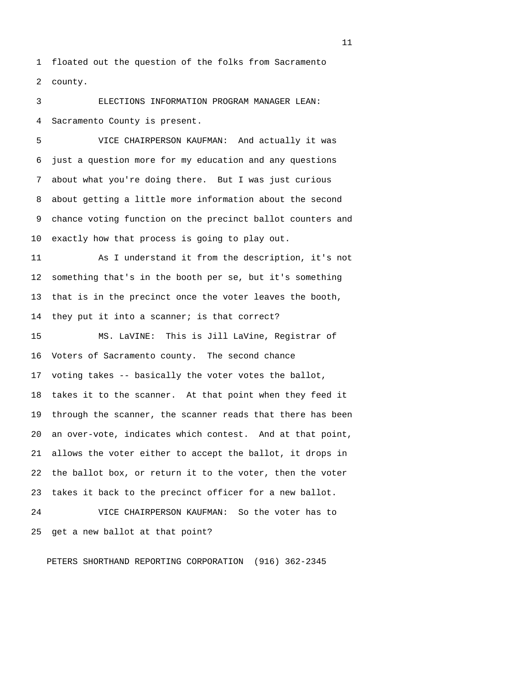1 floated out the question of the folks from Sacramento 2 county.

 3 ELECTIONS INFORMATION PROGRAM MANAGER LEAN: 4 Sacramento County is present.

 5 VICE CHAIRPERSON KAUFMAN: And actually it was 6 just a question more for my education and any questions 7 about what you're doing there. But I was just curious 8 about getting a little more information about the second 9 chance voting function on the precinct ballot counters and 10 exactly how that process is going to play out.

11 As I understand it from the description, it's not 12 something that's in the booth per se, but it's something 13 that is in the precinct once the voter leaves the booth, 14 they put it into a scanner; is that correct?

15 MS. LaVINE: This is Jill LaVine, Registrar of 16 Voters of Sacramento county. The second chance 17 voting takes -- basically the voter votes the ballot, 18 takes it to the scanner. At that point when they feed it 19 through the scanner, the scanner reads that there has been 20 an over-vote, indicates which contest. And at that point, 21 allows the voter either to accept the ballot, it drops in 22 the ballot box, or return it to the voter, then the voter 23 takes it back to the precinct officer for a new ballot. 24 VICE CHAIRPERSON KAUFMAN: So the voter has to

25 get a new ballot at that point?

PETERS SHORTHAND REPORTING CORPORATION (916) 362-2345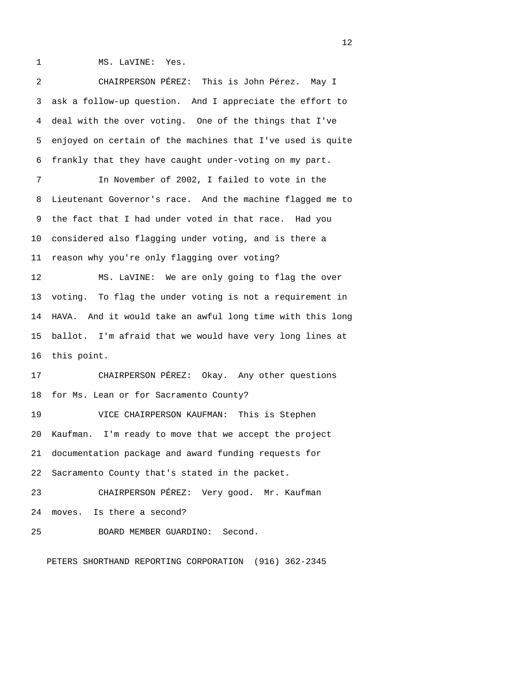1 MS. LaVINE: Yes.

 2 CHAIRPERSON PÉREZ: This is John Pérez. May I 3 ask a follow-up question. And I appreciate the effort to 4 deal with the over voting. One of the things that I've 5 enjoyed on certain of the machines that I've used is quite 6 frankly that they have caught under-voting on my part. 7 In November of 2002, I failed to vote in the 8 Lieutenant Governor's race. And the machine flagged me to 9 the fact that I had under voted in that race. Had you 10 considered also flagging under voting, and is there a 11 reason why you're only flagging over voting? 12 MS. LaVINE: We are only going to flag the over 13 voting. To flag the under voting is not a requirement in 14 HAVA. And it would take an awful long time with this long 15 ballot. I'm afraid that we would have very long lines at 16 this point. 17 CHAIRPERSON PÉREZ: Okay. Any other questions 18 for Ms. Lean or for Sacramento County? 19 VICE CHAIRPERSON KAUFMAN: This is Stephen 20 Kaufman. I'm ready to move that we accept the project 21 documentation package and award funding requests for 22 Sacramento County that's stated in the packet. 23 CHAIRPERSON PÉREZ: Very good. Mr. Kaufman

24 moves. Is there a second?

25 BOARD MEMBER GUARDINO: Second.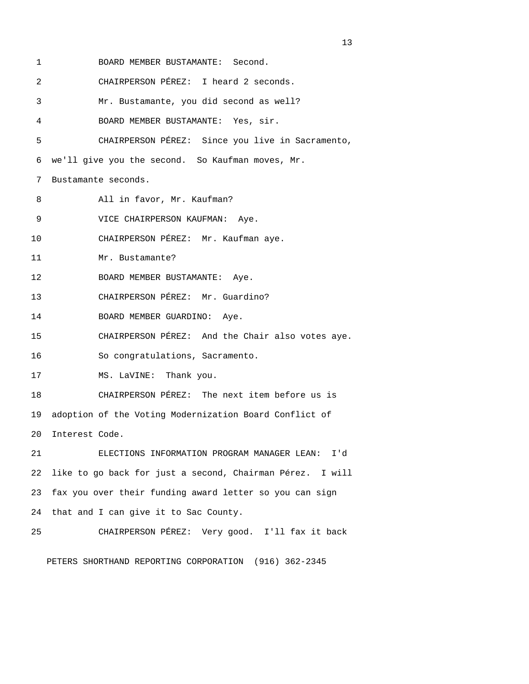| 1  | BOARD MEMBER BUSTAMANTE: Second.                          |
|----|-----------------------------------------------------------|
| 2  | CHAIRPERSON PÉREZ: I heard 2 seconds.                     |
| 3  | Mr. Bustamante, you did second as well?                   |
| 4  | BOARD MEMBER BUSTAMANTE: Yes, sir.                        |
| 5  | CHAIRPERSON PÉREZ: Since you live in Sacramento,          |
| 6  | we'll give you the second. So Kaufman moves, Mr.          |
| 7  | Bustamante seconds.                                       |
| 8  | All in favor, Mr. Kaufman?                                |
| 9  | VICE CHAIRPERSON KAUFMAN: Aye.                            |
| 10 | CHAIRPERSON PÉREZ: Mr. Kaufman aye.                       |
| 11 | Mr. Bustamante?                                           |
| 12 | BOARD MEMBER BUSTAMANTE: Aye.                             |
| 13 | CHAIRPERSON PÉREZ: Mr. Guardino?                          |
| 14 | BOARD MEMBER GUARDINO: Aye.                               |
| 15 | CHAIRPERSON PÉREZ: And the Chair also votes aye.          |
| 16 | So congratulations, Sacramento.                           |
| 17 | MS. LaVINE: Thank you.                                    |
| 18 | CHAIRPERSON PÉREZ: The next item before us is             |
| 19 | adoption of the Voting Modernization Board Conflict of    |
| 20 | Interest Code.                                            |
| 21 | ELECTIONS INFORMATION PROGRAM MANAGER LEAN: I'd           |
| 22 | like to go back for just a second, Chairman Pérez. I will |
| 23 | fax you over their funding award letter so you can sign   |
| 24 | that and I can give it to Sac County.                     |
| 25 | CHAIRPERSON PÉREZ: Very good. I'll fax it back            |
|    |                                                           |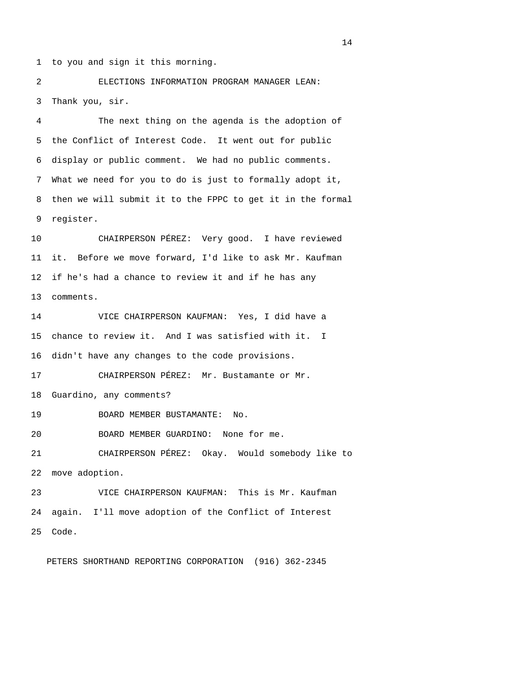1 to you and sign it this morning.

 2 ELECTIONS INFORMATION PROGRAM MANAGER LEAN: 3 Thank you, sir.

 4 The next thing on the agenda is the adoption of 5 the Conflict of Interest Code. It went out for public 6 display or public comment. We had no public comments. 7 What we need for you to do is just to formally adopt it, 8 then we will submit it to the FPPC to get it in the formal 9 register.

10 CHAIRPERSON PÉREZ: Very good. I have reviewed 11 it. Before we move forward, I'd like to ask Mr. Kaufman 12 if he's had a chance to review it and if he has any 13 comments.

14 VICE CHAIRPERSON KAUFMAN: Yes, I did have a 15 chance to review it. And I was satisfied with it. I 16 didn't have any changes to the code provisions.

17 CHAIRPERSON PÉREZ: Mr. Bustamante or Mr. 18 Guardino, any comments?

19 BOARD MEMBER BUSTAMANTE: No.

20 BOARD MEMBER GUARDINO: None for me.

21 CHAIRPERSON PÉREZ: Okay. Would somebody like to 22 move adoption.

23 VICE CHAIRPERSON KAUFMAN: This is Mr. Kaufman 24 again. I'll move adoption of the Conflict of Interest 25 Code.

PETERS SHORTHAND REPORTING CORPORATION (916) 362-2345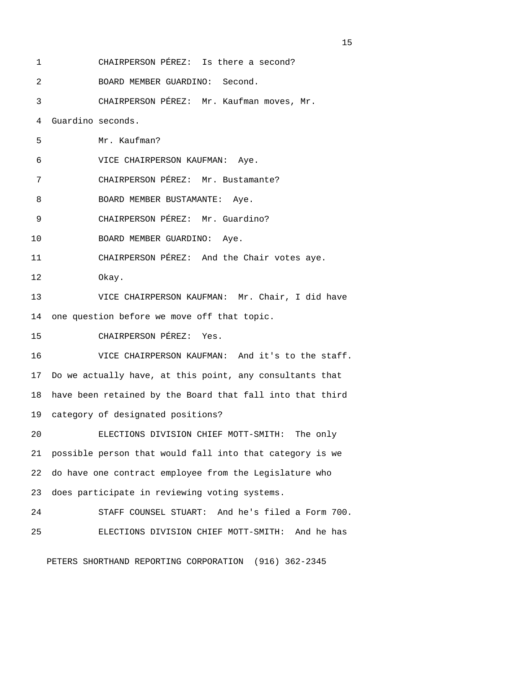1 CHAIRPERSON PÉREZ: Is there a second? 2 BOARD MEMBER GUARDINO: Second. 3 CHAIRPERSON PÉREZ: Mr. Kaufman moves, Mr. 4 Guardino seconds. 5 Mr. Kaufman? 6 VICE CHAIRPERSON KAUFMAN: Aye. 7 CHAIRPERSON PÉREZ: Mr. Bustamante? 8 BOARD MEMBER BUSTAMANTE: Aye. 9 CHAIRPERSON PÉREZ: Mr. Guardino? 10 BOARD MEMBER GUARDINO: Aye. 11 CHAIRPERSON PÉREZ: And the Chair votes aye. 12 Okay. 13 VICE CHAIRPERSON KAUFMAN: Mr. Chair, I did have 14 one question before we move off that topic. 15 CHAIRPERSON PÉREZ: Yes. 16 VICE CHAIRPERSON KAUFMAN: And it's to the staff. 17 Do we actually have, at this point, any consultants that 18 have been retained by the Board that fall into that third 19 category of designated positions? 20 ELECTIONS DIVISION CHIEF MOTT-SMITH: The only 21 possible person that would fall into that category is we 22 do have one contract employee from the Legislature who 23 does participate in reviewing voting systems. 24 STAFF COUNSEL STUART: And he's filed a Form 700. 25 ELECTIONS DIVISION CHIEF MOTT-SMITH: And he has

PETERS SHORTHAND REPORTING CORPORATION (916) 362-2345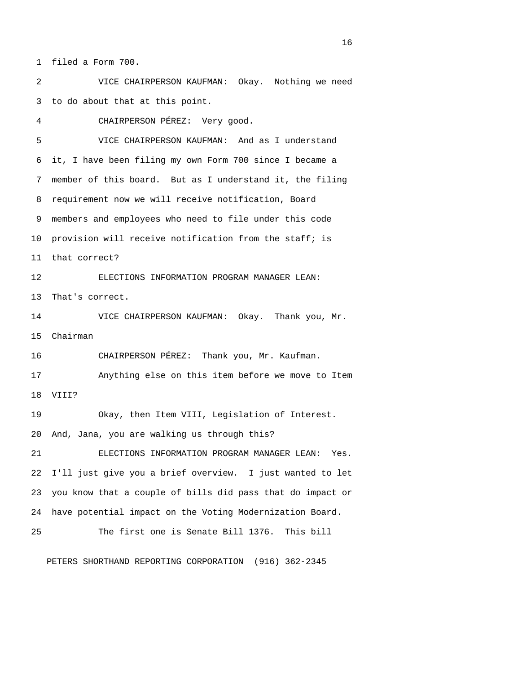1 filed a Form 700.

 2 VICE CHAIRPERSON KAUFMAN: Okay. Nothing we need 3 to do about that at this point.

4 CHAIRPERSON PÉREZ: Very good.

 5 VICE CHAIRPERSON KAUFMAN: And as I understand 6 it, I have been filing my own Form 700 since I became a 7 member of this board. But as I understand it, the filing 8 requirement now we will receive notification, Board 9 members and employees who need to file under this code 10 provision will receive notification from the staff; is 11 that correct? 12 ELECTIONS INFORMATION PROGRAM MANAGER LEAN: 13 That's correct. 14 VICE CHAIRPERSON KAUFMAN: Okay. Thank you, Mr. 15 Chairman 16 CHAIRPERSON PÉREZ: Thank you, Mr. Kaufman. 17 Anything else on this item before we move to Item 18 VIII? 19 Okay, then Item VIII, Legislation of Interest. 20 And, Jana, you are walking us through this? 21 ELECTIONS INFORMATION PROGRAM MANAGER LEAN: Yes. 22 I'll just give you a brief overview. I just wanted to let 23 you know that a couple of bills did pass that do impact or 24 have potential impact on the Voting Modernization Board. 25 The first one is Senate Bill 1376. This bill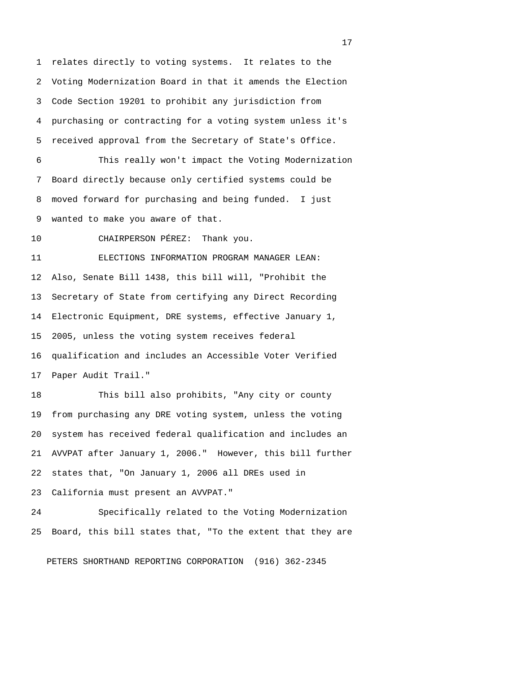1 relates directly to voting systems. It relates to the 2 Voting Modernization Board in that it amends the Election 3 Code Section 19201 to prohibit any jurisdiction from 4 purchasing or contracting for a voting system unless it's 5 received approval from the Secretary of State's Office. 6 This really won't impact the Voting Modernization 7 Board directly because only certified systems could be 8 moved forward for purchasing and being funded. I just 9 wanted to make you aware of that. 10 CHAIRPERSON PÉREZ: Thank you. 11 ELECTIONS INFORMATION PROGRAM MANAGER LEAN: 12 Also, Senate Bill 1438, this bill will, "Prohibit the 13 Secretary of State from certifying any Direct Recording 14 Electronic Equipment, DRE systems, effective January 1, 15 2005, unless the voting system receives federal 16 qualification and includes an Accessible Voter Verified 17 Paper Audit Trail."

18 This bill also prohibits, "Any city or county 19 from purchasing any DRE voting system, unless the voting 20 system has received federal qualification and includes an 21 AVVPAT after January 1, 2006." However, this bill further 22 states that, "On January 1, 2006 all DREs used in 23 California must present an AVVPAT."

24 Specifically related to the Voting Modernization 25 Board, this bill states that, "To the extent that they are

PETERS SHORTHAND REPORTING CORPORATION (916) 362-2345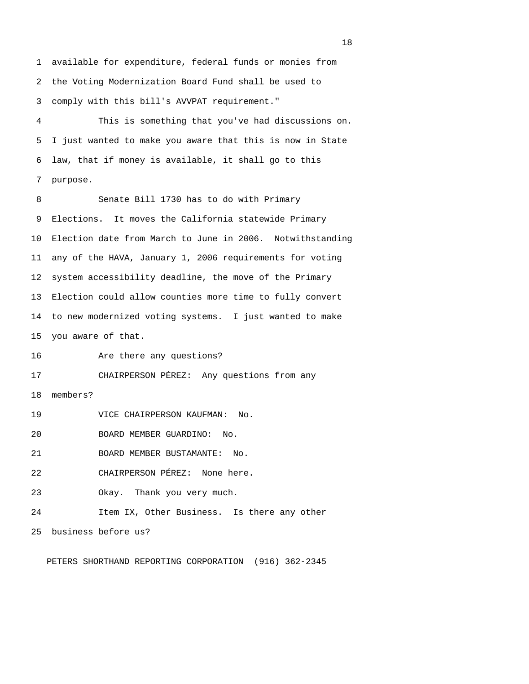1 available for expenditure, federal funds or monies from 2 the Voting Modernization Board Fund shall be used to 3 comply with this bill's AVVPAT requirement."

 4 This is something that you've had discussions on. 5 I just wanted to make you aware that this is now in State 6 law, that if money is available, it shall go to this 7 purpose.

 8 Senate Bill 1730 has to do with Primary 9 Elections. It moves the California statewide Primary 10 Election date from March to June in 2006. Notwithstanding 11 any of the HAVA, January 1, 2006 requirements for voting 12 system accessibility deadline, the move of the Primary 13 Election could allow counties more time to fully convert 14 to new modernized voting systems. I just wanted to make 15 you aware of that.

16 Are there any questions?

17 CHAIRPERSON PÉREZ: Any questions from any

18 members?

19 VICE CHAIRPERSON KAUFMAN: No.

20 BOARD MEMBER GUARDINO: No.

21 BOARD MEMBER BUSTAMANTE: No.

22 CHAIRPERSON PÉREZ: None here.

23 Okay. Thank you very much.

24 Item IX, Other Business. Is there any other

25 business before us?

PETERS SHORTHAND REPORTING CORPORATION (916) 362-2345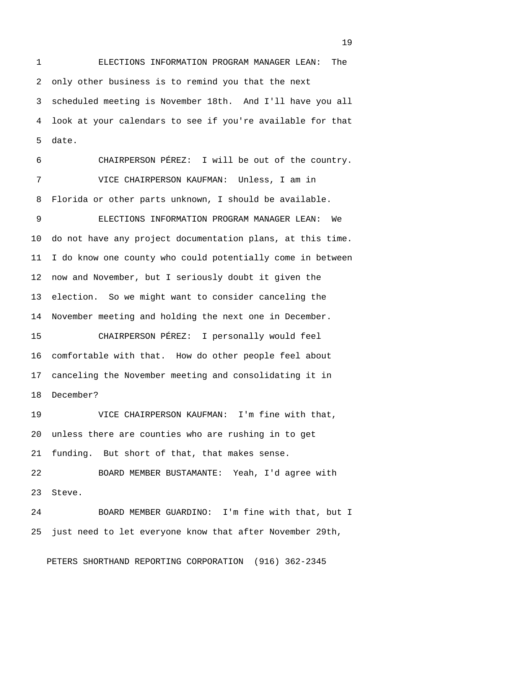1 ELECTIONS INFORMATION PROGRAM MANAGER LEAN: The 2 only other business is to remind you that the next 3 scheduled meeting is November 18th. And I'll have you all 4 look at your calendars to see if you're available for that 5 date. 6 CHAIRPERSON PÉREZ: I will be out of the country. 7 VICE CHAIRPERSON KAUFMAN: Unless, I am in 8 Florida or other parts unknown, I should be available. 9 ELECTIONS INFORMATION PROGRAM MANAGER LEAN: We 10 do not have any project documentation plans, at this time. 11 I do know one county who could potentially come in between 12 now and November, but I seriously doubt it given the 13 election. So we might want to consider canceling the 14 November meeting and holding the next one in December. 15 CHAIRPERSON PÉREZ: I personally would feel 16 comfortable with that. How do other people feel about 17 canceling the November meeting and consolidating it in

18 December?

19 VICE CHAIRPERSON KAUFMAN: I'm fine with that, 20 unless there are counties who are rushing in to get 21 funding. But short of that, that makes sense.

22 BOARD MEMBER BUSTAMANTE: Yeah, I'd agree with 23 Steve.

24 BOARD MEMBER GUARDINO: I'm fine with that, but I 25 just need to let everyone know that after November 29th,

PETERS SHORTHAND REPORTING CORPORATION (916) 362-2345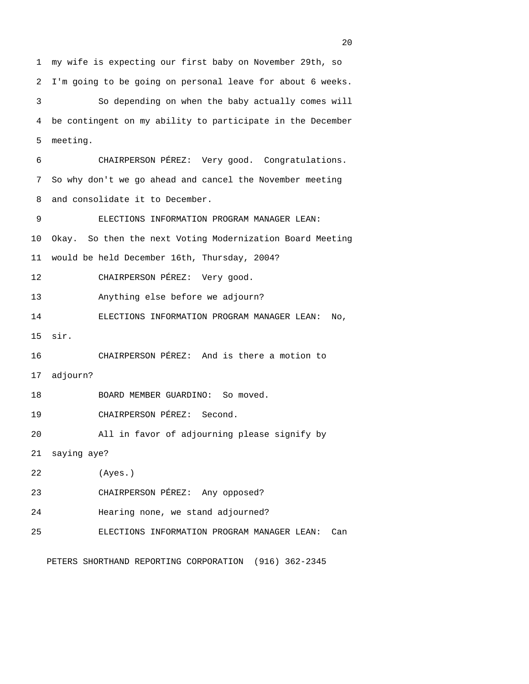1 my wife is expecting our first baby on November 29th, so 2 I'm going to be going on personal leave for about 6 weeks. 3 So depending on when the baby actually comes will 4 be contingent on my ability to participate in the December 5 meeting. 6 CHAIRPERSON PÉREZ: Very good. Congratulations. 7 So why don't we go ahead and cancel the November meeting 8 and consolidate it to December. 9 ELECTIONS INFORMATION PROGRAM MANAGER LEAN: 10 Okay. So then the next Voting Modernization Board Meeting 11 would be held December 16th, Thursday, 2004? 12 CHAIRPERSON PÉREZ: Very good. 13 Anything else before we adjourn? 14 ELECTIONS INFORMATION PROGRAM MANAGER LEAN: No, 15 sir. 16 CHAIRPERSON PÉREZ: And is there a motion to 17 adjourn? 18 BOARD MEMBER GUARDINO: So moved. 19 CHAIRPERSON PÉREZ: Second. 20 All in favor of adjourning please signify by 21 saying aye? 22 (Ayes.) 23 CHAIRPERSON PÉREZ: Any opposed? 24 Hearing none, we stand adjourned? 25 ELECTIONS INFORMATION PROGRAM MANAGER LEAN: Can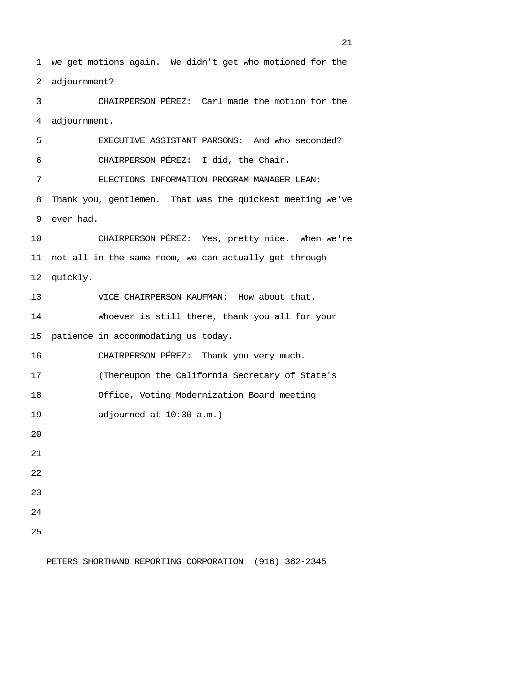1 we get motions again. We didn't get who motioned for the 2 adjournment? 3 CHAIRPERSON PÉREZ: Carl made the motion for the 4 adjournment. 5 EXECUTIVE ASSISTANT PARSONS: And who seconded? 6 CHAIRPERSON PÉREZ: I did, the Chair. 7 ELECTIONS INFORMATION PROGRAM MANAGER LEAN: 8 Thank you, gentlemen. That was the quickest meeting we've 9 ever had. 10 CHAIRPERSON PÉREZ: Yes, pretty nice. When we're 11 not all in the same room, we can actually get through 12 quickly. 13 VICE CHAIRPERSON KAUFMAN: How about that. 14 Whoever is still there, thank you all for your 15 patience in accommodating us today. 16 CHAIRPERSON PÉREZ: Thank you very much. 17 (Thereupon the California Secretary of State's 18 Office, Voting Modernization Board meeting 19 adjourned at 10:30 a.m.) 20 21 22 23 24 25